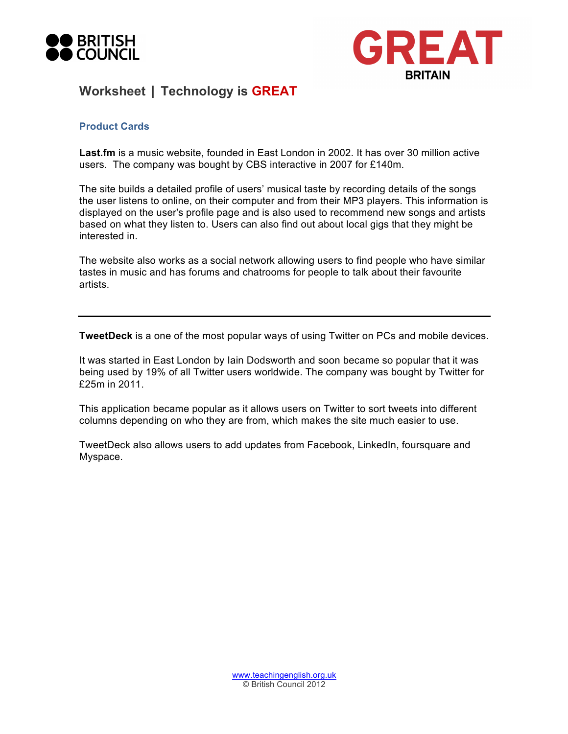



## **Worksheet | Technology is GREAT**

## **Product Cards**

**Last.fm** is a music website, founded in East London in 2002. It has over 30 million active users. The company was bought by CBS interactive in 2007 for £140m.

The site builds a detailed profile of users' musical taste by recording details of the songs the user listens to online, on their computer and from their MP3 players. This information is displayed on the user's profile page and is also used to recommend new songs and artists based on what they listen to. Users can also find out about local gigs that they might be interested in.

The website also works as a social network allowing users to find people who have similar tastes in music and has forums and chatrooms for people to talk about their favourite artists.

**TweetDeck** is a one of the most popular ways of using Twitter on PCs and mobile devices.

It was started in East London by Iain Dodsworth and soon became so popular that it was being used by 19% of all Twitter users worldwide. The company was bought by Twitter for £25m in 2011.

This application became popular as it allows users on Twitter to sort tweets into different columns depending on who they are from, which makes the site much easier to use.

TweetDeck also allows users to add updates from Facebook, LinkedIn, foursquare and Myspace.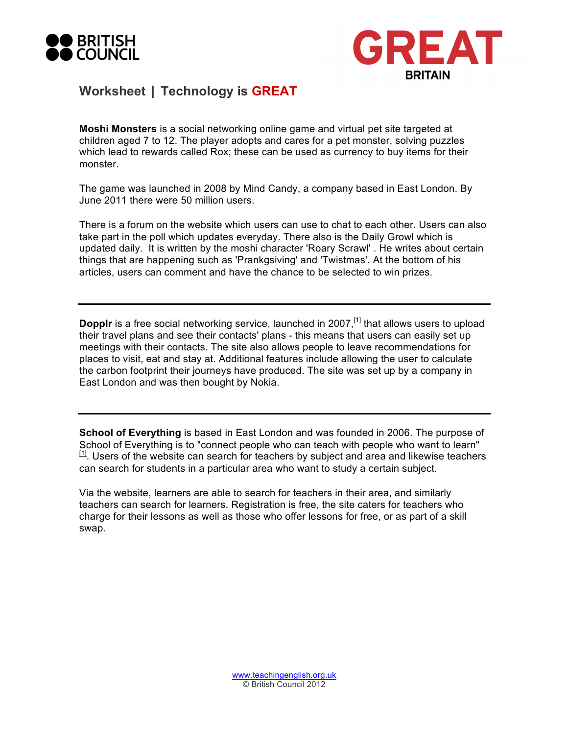



## **Worksheet | Technology is GREAT**

**Moshi Monsters** is a social networking online game and virtual pet site targeted at children aged 7 to 12. The player adopts and cares for a pet monster, solving puzzles which lead to rewards called Rox; these can be used as currency to buy items for their monster.

The game was launched in 2008 by Mind Candy, a company based in East London. By June 2011 there were 50 million users.

There is a forum on the website which users can use to chat to each other. Users can also take part in the poll which updates everyday. There also is the Daily Growl which is updated daily. It is written by the moshi character 'Roary Scrawl' . He writes about certain things that are happening such as 'Prankgsiving' and 'Twistmas'. At the bottom of his articles, users can comment and have the chance to be selected to win prizes.

Dopplr is a free social networking service, launched in 2007,<sup>[1]</sup> that allows users to upload their travel plans and see their contacts' plans - this means that users can easily set up meetings with their contacts. The site also allows people to leave recommendations for places to visit, eat and stay at. Additional features include allowing the user to calculate the carbon footprint their journeys have produced. The site was set up by a company in East London and was then bought by Nokia.

**School of Everything** is based in East London and was founded in 2006. The purpose of School of Everything is to "connect people who can teach with people who want to learn"  $[11]$ . Users of the website can search for teachers by subject and area and likewise teachers can search for students in a particular area who want to study a certain subject.

Via the website, learners are able to search for teachers in their area, and similarly teachers can search for learners. Registration is free, the site caters for teachers who charge for their lessons as well as those who offer lessons for free, or as part of a skill swap.